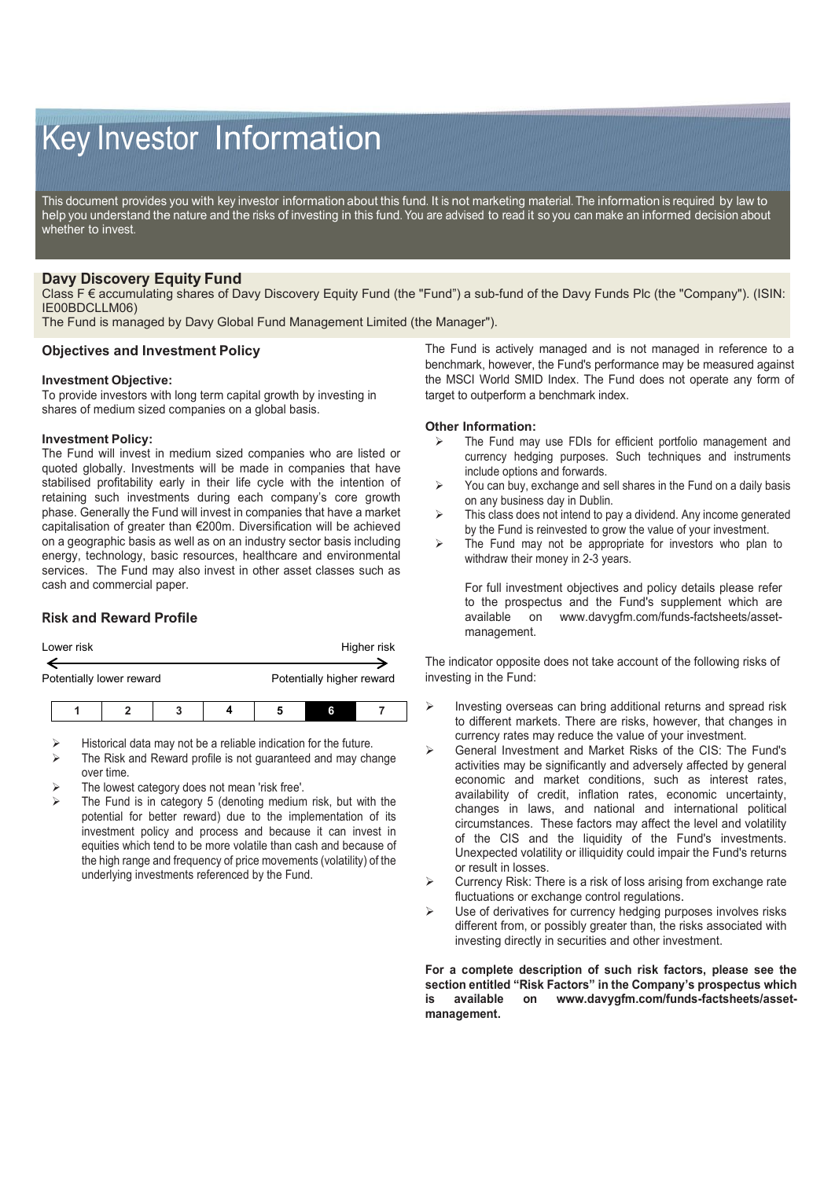# Key Investor Information

This document provides you with key investor information about this fund. It is not marketing material. The information is required by law to help you understand the nature and the risks of investing in this fund. You are advised to read it so you can make an informed decision about whether to invest.

# **Davy Discovery Equity Fund**

Class F € accumulating shares of Davy Discovery Equity Fund (the "Fund") a sub-fund of the Davy Funds Plc (the "Company"). (ISIN: IE00BDCLLM06)

The Fund is managed by Davy Global Fund Management Limited (the Manager").

#### **Objectives and Investment Policy**

#### **Investment Objective:**

To provide investors with long term capital growth by investing in shares of medium sized companies on a global basis.

#### **Investment Policy:**

The Fund will invest in medium sized companies who are listed or quoted globally. Investments will be made in companies that have stabilised profitability early in their life cycle with the intention of retaining such investments during each company's core growth phase. Generally the Fund will invest in companies that have a market capitalisation of greater than €200m. Diversification will be achieved on a geographic basis as well as on an industry sector basis including energy, technology, basic resources, healthcare and environmental services. The Fund may also invest in other asset classes such as cash and commercial paper.

# **Risk and Reward Profile**

| Lower risk               | Higher risk               |
|--------------------------|---------------------------|
|                          |                           |
|                          |                           |
| Potentially lower reward | Potentially higher reward |

- $\triangleright$  Historical data may not be a reliable indication for the future.<br>  $\triangleright$  The Risk and Reward profile is not quaranteed and may character
- The Risk and Reward profile is not guaranteed and may change over time.
- The lowest category does not mean 'risk free'.
- The Fund is in category 5 (denoting medium risk, but with the potential for better reward) due to the implementation of its investment policy and process and because it can invest in equities which tend to be more volatile than cash and because of the high range and frequency of price movements (volatility) of the underlying investments referenced by the Fund.

The Fund is actively managed and is not managed in reference to a benchmark, however, the Fund's performance may be measured against the MSCI World SMID Index. The Fund does not operate any form of target to outperform a benchmark index.

#### **Other Information:**

- $\triangleright$  The Fund may use FDIs for efficient portfolio management and currency hedging purposes. Such techniques and instruments include options and forwards.
- $\triangleright$  You can buy, exchange and sell shares in the Fund on a daily basis on any business day in Dublin.
- $\triangleright$  This class does not intend to pay a dividend. Any income generated by the Fund is reinvested to grow the value of your investment.
- $\triangleright$  The Fund may not be appropriate for investors who plan to withdraw their money in 2-3 years.

For full investment objectives and policy details please refer to the prospectus and the Fund's supplement which are available on www.davygfm.com/funds-factsheets/assetmanagement.

The indicator opposite does not take account of the following risks of investing in the Fund:

- $\triangleright$  Investing overseas can bring additional returns and spread risk to different markets. There are risks, however, that changes in currency rates may reduce the value of your investment.
- General Investment and Market Risks of the CIS: The Fund's activities may be significantly and adversely affected by general economic and market conditions, such as interest rates, availability of credit, inflation rates, economic uncertainty, changes in laws, and national and international political circumstances. These factors may affect the level and volatility of the CIS and the liquidity of the Fund's investments. Unexpected volatility or illiquidity could impair the Fund's returns or result in losses.
- $\triangleright$  Currency Risk: There is a risk of loss arising from exchange rate fluctuations or exchange control regulations.
- $\triangleright$  Use of derivatives for currency hedging purposes involves risks different from, or possibly greater than, the risks associated with investing directly in securities and other investment.

**For a complete description of such risk factors, please see the section entitled "Risk Factors" in the Company's prospectus which is available on www.davygfm.com/funds-factsheets/assetmanagement.**